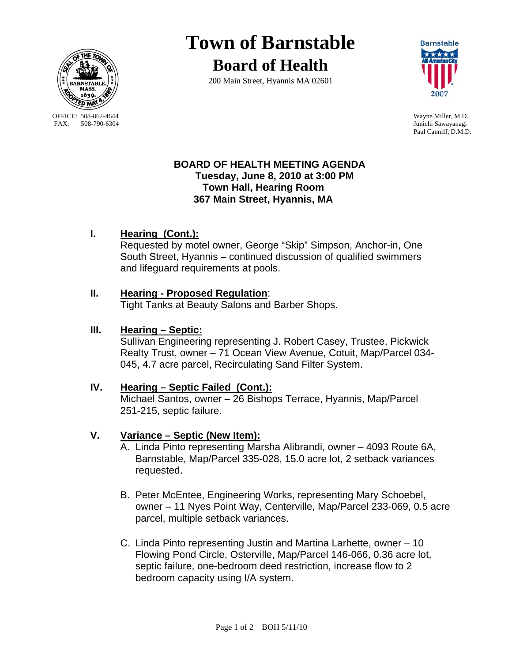

OFFICE: 508-862-4644 Wayne Miller, M.D.<br>
FAX: 508-790-6304 Iunichi Sawayanagi

# **Town of Barnstable**

**Board of Health**

200 Main Street, Hyannis MA 02601



Junichi Sawayanagi Paul Canniff, D.M.D.

#### **BOARD OF HEALTH MEETING AGENDA Tuesday, June 8, 2010 at 3:00 PM Town Hall, Hearing Room 367 Main Street, Hyannis, MA**

## **I. Hearing (Cont.):**

Requested by motel owner, George "Skip" Simpson, Anchor-in, One South Street, Hyannis – continued discussion of qualified swimmers and lifeguard requirements at pools.

## **II. Hearing - Proposed Regulation**:

Tight Tanks at Beauty Salons and Barber Shops.

## **III. Hearing – Septic:**

Sullivan Engineering representing J. Robert Casey, Trustee, Pickwick Realty Trust, owner – 71 Ocean View Avenue, Cotuit, Map/Parcel 034- 045, 4.7 acre parcel, Recirculating Sand Filter System.

#### **IV. Hearing – Septic Failed (Cont.):**

Michael Santos, owner – 26 Bishops Terrace, Hyannis, Map/Parcel 251-215, septic failure.

## **V. Variance – Septic (New Item):**

- A. Linda Pinto representing Marsha Alibrandi, owner 4093 Route 6A, Barnstable, Map/Parcel 335-028, 15.0 acre lot, 2 setback variances requested.
- B. Peter McEntee, Engineering Works, representing Mary Schoebel, owner – 11 Nyes Point Way, Centerville, Map/Parcel 233-069, 0.5 acre parcel, multiple setback variances.
- C. Linda Pinto representing Justin and Martina Larhette, owner 10 Flowing Pond Circle, Osterville, Map/Parcel 146-066, 0.36 acre lot, septic failure, one-bedroom deed restriction, increase flow to 2 bedroom capacity using I/A system.